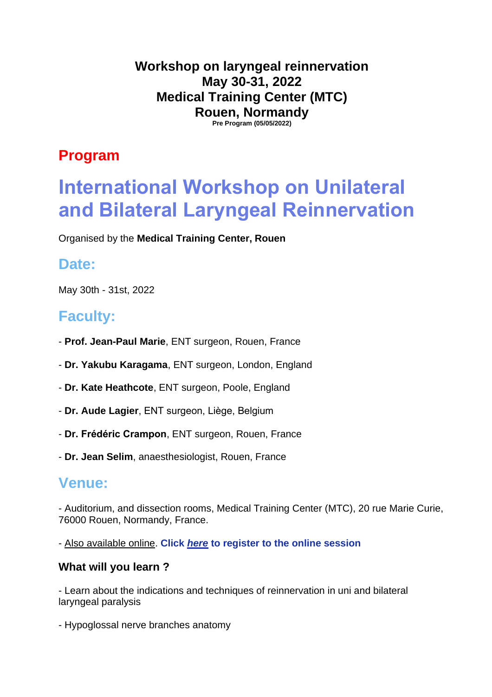**Workshop on laryngeal reinnervation May 30-31, 2022 Medical Training Center (MTC) Rouen, Normandy Pre Program (05/05/2022)** 

## **Program**

# **International Workshop on Unilateral and Bilateral Laryngeal Reinnervation**

Organised by the **Medical Training Center, Rouen**

### **Date:**

May 30th - 31st, 2022

# **Faculty:**

- **Prof. Jean-Paul Marie**, ENT surgeon, Rouen, France
- **Dr. Yakubu Karagama**, ENT surgeon, London, England
- **Dr. Kate Heathcote**, ENT surgeon, Poole, England
- **Dr. Aude Lagier**, ENT surgeon, Liège, Belgium
- **Dr. Frédéric Crampon**, ENT surgeon, Rouen, France
- **Dr. Jean Selim**, anaesthesiologist, Rouen, France

### **Venue:**

- Auditorium, and dissection rooms, Medical Training Center (MTC), 20 rue Marie Curie, 76000 Rouen, Normandy, France.

- Also available online. **Click** *[here](https://invivox.com/training/detail/MTCR71136)* **to register to the online session**

#### **What will you learn ?**

- Learn about the indications and techniques of reinnervation in uni and bilateral laryngeal paralysis

- Hypoglossal nerve branches anatomy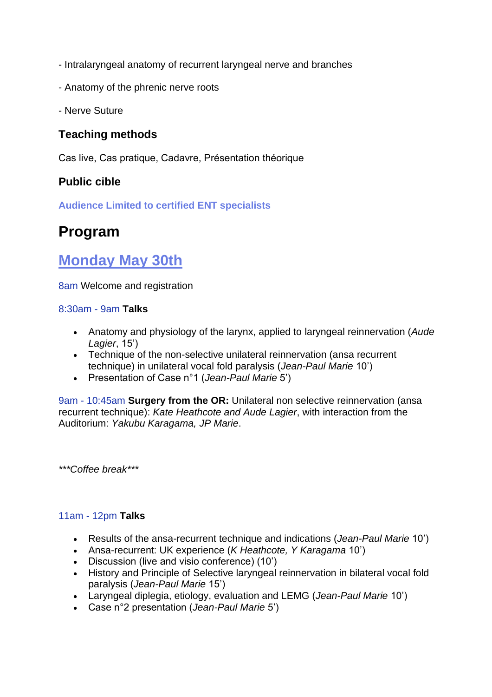- Intralaryngeal anatomy of recurrent laryngeal nerve and branches
- Anatomy of the phrenic nerve roots
- Nerve Suture

### **Teaching methods**

Cas live, Cas pratique, Cadavre, Présentation théorique

### **Public cible**

**Audience Limited to certified ENT specialists**

## **Program**

## **Monday May 30th**

8am Welcome and registration

#### 8:30am - 9am **Talks**

- Anatomy and physiology of the larynx, applied to laryngeal reinnervation (*Aude Lagier*, 15')
- Technique of the non-selective unilateral reinnervation (ansa recurrent technique) in unilateral vocal fold paralysis (*Jean-Paul Marie* 10')
- Presentation of Case n°1 (*Jean-Paul Marie* 5')

9am - 10:45am **Surgery from the OR:** Unilateral non selective reinnervation (ansa recurrent technique): *Kate Heathcote and Aude Lagier*, with interaction from the Auditorium: *Yakubu Karagama, JP Marie*.

*\*\*\*Coffee break\*\*\**

#### 11am - 12pm **Talks**

- Results of the ansa-recurrent technique and indications (*Jean-Paul Marie* 10')
- Ansa-recurrent: UK experience (*K Heathcote, Y Karagama* 10')
- Discussion (live and visio conference) (10')
- History and Principle of Selective laryngeal reinnervation in bilateral vocal fold paralysis (*Jean-Paul Marie* 15')
- Laryngeal diplegia, etiology, evaluation and LEMG (*Jean-Paul Marie* 10')
- Case n°2 presentation (*Jean-Paul Marie* 5')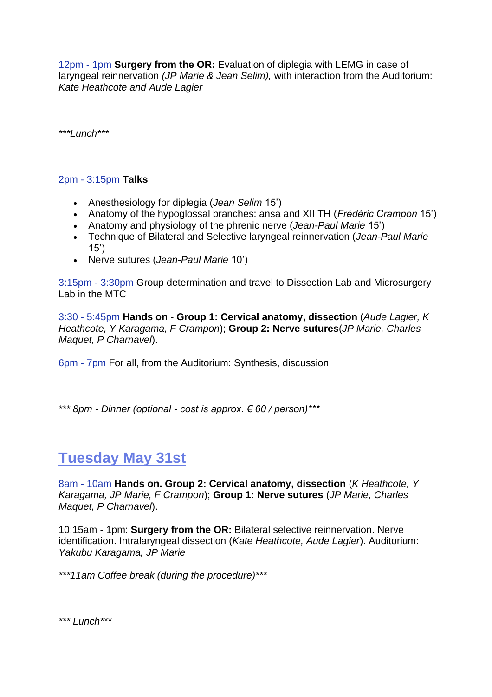12pm - 1pm **Surgery from the OR:** Evaluation of diplegia with LEMG in case of laryngeal reinnervation *(JP Marie & Jean Selim),* with interaction from the Auditorium: *Kate Heathcote and Aude Lagier*

*\*\*\*Lunch\*\*\**

#### 2pm - 3:15pm **Talks**

- Anesthesiology for diplegia (*Jean Selim* 15')
- Anatomy of the hypoglossal branches: ansa and XII TH (*Frédéric Crampon* 15')
- Anatomy and physiology of the phrenic nerve (*Jean-Paul Marie* 15')
- Technique of Bilateral and Selective laryngeal reinnervation (*Jean-Paul Marie* 15')
- Nerve sutures (*Jean-Paul Marie* 10')

3:15pm - 3:30pm Group determination and travel to Dissection Lab and Microsurgery Lab in the MTC

3:30 - 5:45pm **Hands on - Group 1: Cervical anatomy, dissection** (*Aude Lagier, K Heathcote, Y Karagama, F Crampon*); **Group 2: Nerve sutures**(*JP Marie, Charles Maquet, P Charnavel*).

6pm - 7pm For all, from the Auditorium: Synthesis, discussion

*\*\*\* 8pm - Dinner (optional - cost is approx. € 60 / person)\*\*\**

# **Tuesday May 31st**

8am - 10am **Hands on. Group 2: Cervical anatomy, dissection** (*K Heathcote, Y Karagama, JP Marie, F Crampon*); **Group 1: Nerve sutures** (*JP Marie, Charles Maquet, P Charnavel*).

10:15am - 1pm: **Surgery from the OR:** Bilateral selective reinnervation. Nerve identification. Intralaryngeal dissection (*Kate Heathcote, Aude Lagier*). Auditorium: *Yakubu Karagama, JP Marie*

*\*\*\*11am Coffee break (during the procedure)\*\*\**

*\*\*\* Lunch\*\*\**